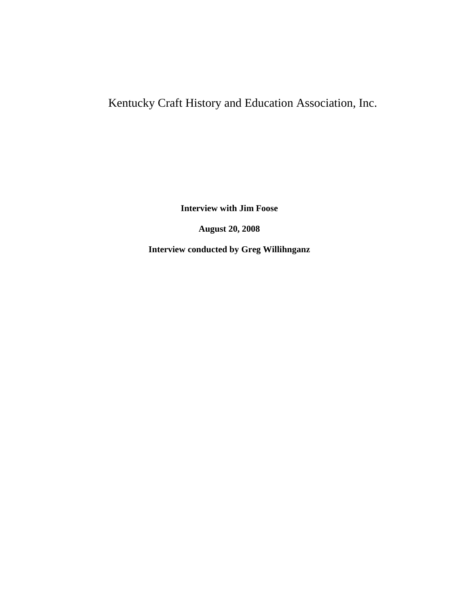## Kentucky Craft History and Education Association, Inc.

**Interview with Jim Foose**

**August 20, 2008**

**Interview conducted by Greg Willihnganz**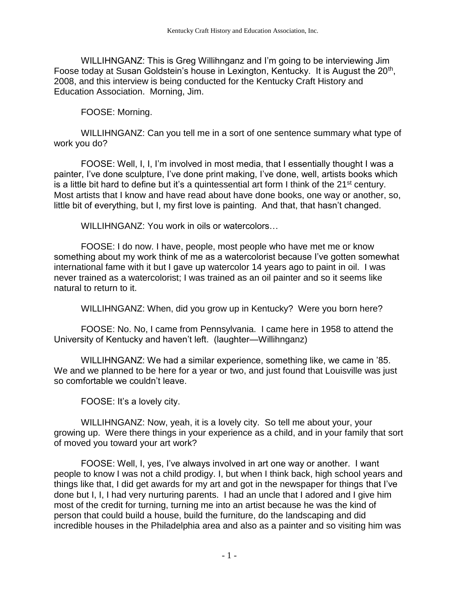WILLIHNGANZ: This is Greg Willihnganz and I'm going to be interviewing Jim Foose today at Susan Goldstein's house in Lexington, Kentucky. It is August the  $20<sup>th</sup>$ , 2008, and this interview is being conducted for the Kentucky Craft History and Education Association. Morning, Jim.

FOOSE: Morning.

WILLIHNGANZ: Can you tell me in a sort of one sentence summary what type of work you do?

FOOSE: Well, I, I, I'm involved in most media, that I essentially thought I was a painter, I've done sculpture, I've done print making, I've done, well, artists books which is a little bit hard to define but it's a quintessential art form I think of the  $21^{st}$  century. Most artists that I know and have read about have done books, one way or another, so, little bit of everything, but I, my first love is painting. And that, that hasn't changed.

WILLIHNGANZ: You work in oils or watercolors…

FOOSE: I do now. I have, people, most people who have met me or know something about my work think of me as a watercolorist because I've gotten somewhat international fame with it but I gave up watercolor 14 years ago to paint in oil. I was never trained as a watercolorist; I was trained as an oil painter and so it seems like natural to return to it.

WILLIHNGANZ: When, did you grow up in Kentucky? Were you born here?

FOOSE: No. No, I came from Pennsylvania. I came here in 1958 to attend the University of Kentucky and haven't left. (laughter—Willihnganz)

WILLIHNGANZ: We had a similar experience, something like, we came in '85. We and we planned to be here for a year or two, and just found that Louisville was just so comfortable we couldn't leave.

FOOSE: It's a lovely city.

WILLIHNGANZ: Now, yeah, it is a lovely city. So tell me about your, your growing up. Were there things in your experience as a child, and in your family that sort of moved you toward your art work?

FOOSE: Well, I, yes, I've always involved in art one way or another. I want people to know I was not a child prodigy. I, but when I think back, high school years and things like that, I did get awards for my art and got in the newspaper for things that I've done but I, I, I had very nurturing parents. I had an uncle that I adored and I give him most of the credit for turning, turning me into an artist because he was the kind of person that could build a house, build the furniture, do the landscaping and did incredible houses in the Philadelphia area and also as a painter and so visiting him was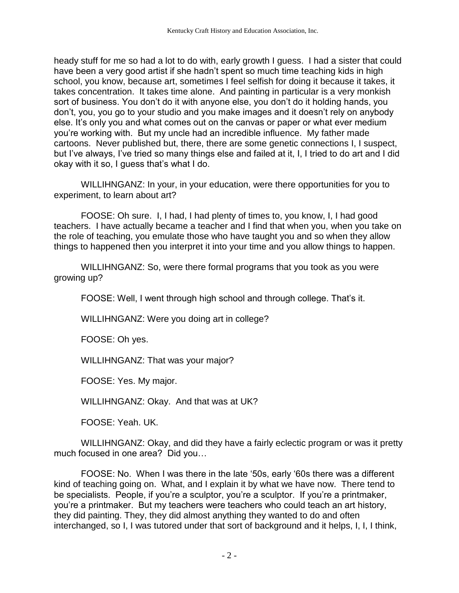heady stuff for me so had a lot to do with, early growth I guess. I had a sister that could have been a very good artist if she hadn't spent so much time teaching kids in high school, you know, because art, sometimes I feel selfish for doing it because it takes, it takes concentration. It takes time alone. And painting in particular is a very monkish sort of business. You don't do it with anyone else, you don't do it holding hands, you don't, you, you go to your studio and you make images and it doesn't rely on anybody else. It's only you and what comes out on the canvas or paper or what ever medium you're working with. But my uncle had an incredible influence. My father made cartoons. Never published but, there, there are some genetic connections I, I suspect, but I've always, I've tried so many things else and failed at it, I, I tried to do art and I did okay with it so, I guess that's what I do.

WILLIHNGANZ: In your, in your education, were there opportunities for you to experiment, to learn about art?

FOOSE: Oh sure. I, I had, I had plenty of times to, you know, I, I had good teachers. I have actually became a teacher and I find that when you, when you take on the role of teaching, you emulate those who have taught you and so when they allow things to happened then you interpret it into your time and you allow things to happen.

WILLIHNGANZ: So, were there formal programs that you took as you were growing up?

FOOSE: Well, I went through high school and through college. That's it.

WILLIHNGANZ: Were you doing art in college?

FOOSE: Oh yes.

WILLIHNGANZ: That was your major?

FOOSE: Yes. My major.

WILLIHNGANZ: Okay. And that was at UK?

FOOSE: Yeah. UK.

WILLIHNGANZ: Okay, and did they have a fairly eclectic program or was it pretty much focused in one area? Did you…

FOOSE: No. When I was there in the late '50s, early '60s there was a different kind of teaching going on. What, and I explain it by what we have now. There tend to be specialists. People, if you're a sculptor, you're a sculptor. If you're a printmaker, you're a printmaker. But my teachers were teachers who could teach an art history, they did painting. They, they did almost anything they wanted to do and often interchanged, so I, I was tutored under that sort of background and it helps, I, I, I think,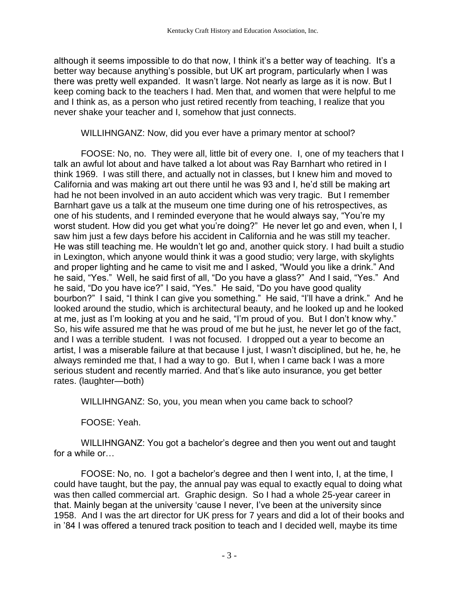although it seems impossible to do that now, I think it's a better way of teaching. It's a better way because anything's possible, but UK art program, particularly when I was there was pretty well expanded. It wasn't large. Not nearly as large as it is now. But I keep coming back to the teachers I had. Men that, and women that were helpful to me and I think as, as a person who just retired recently from teaching, I realize that you never shake your teacher and I, somehow that just connects.

WILLIHNGANZ: Now, did you ever have a primary mentor at school?

FOOSE: No, no. They were all, little bit of every one. I, one of my teachers that I talk an awful lot about and have talked a lot about was Ray Barnhart who retired in I think 1969. I was still there, and actually not in classes, but I knew him and moved to California and was making art out there until he was 93 and I, he'd still be making art had he not been involved in an auto accident which was very tragic. But I remember Barnhart gave us a talk at the museum one time during one of his retrospectives, as one of his students, and I reminded everyone that he would always say, "You're my worst student. How did you get what you're doing?" He never let go and even, when I, I saw him just a few days before his accident in California and he was still my teacher. He was still teaching me. He wouldn't let go and, another quick story. I had built a studio in Lexington, which anyone would think it was a good studio; very large, with skylights and proper lighting and he came to visit me and I asked, "Would you like a drink." And he said, "Yes." Well, he said first of all, "Do you have a glass?" And I said, "Yes." And he said, "Do you have ice?" I said, "Yes." He said, "Do you have good quality bourbon?" I said, "I think I can give you something." He said, "I'll have a drink." And he looked around the studio, which is architectural beauty, and he looked up and he looked at me, just as I'm looking at you and he said, "I'm proud of you. But I don't know why." So, his wife assured me that he was proud of me but he just, he never let go of the fact, and I was a terrible student. I was not focused. I dropped out a year to become an artist, I was a miserable failure at that because I just, I wasn't disciplined, but he, he, he always reminded me that, I had a way to go. But I, when I came back I was a more serious student and recently married. And that's like auto insurance, you get better rates. (laughter—both)

WILLIHNGANZ: So, you, you mean when you came back to school?

FOOSE: Yeah.

WILLIHNGANZ: You got a bachelor's degree and then you went out and taught for a while or…

FOOSE: No, no. I got a bachelor's degree and then I went into, I, at the time, I could have taught, but the pay, the annual pay was equal to exactly equal to doing what was then called commercial art. Graphic design. So I had a whole 25-year career in that. Mainly began at the university 'cause I never, I've been at the university since 1958. And I was the art director for UK press for 7 years and did a lot of their books and in '84 I was offered a tenured track position to teach and I decided well, maybe its time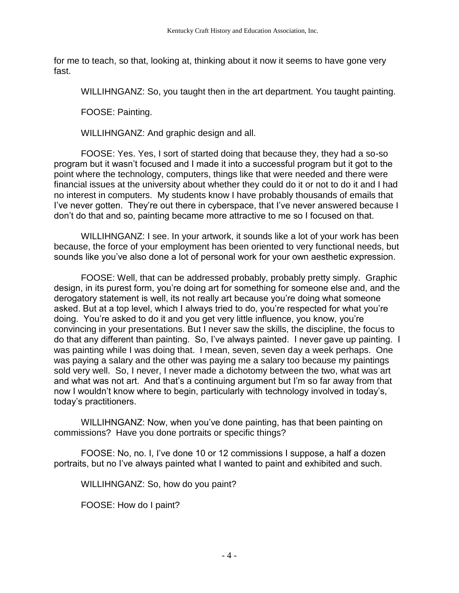for me to teach, so that, looking at, thinking about it now it seems to have gone very fast.

WILLIHNGANZ: So, you taught then in the art department. You taught painting.

FOOSE: Painting.

WILLIHNGANZ: And graphic design and all.

FOOSE: Yes. Yes, I sort of started doing that because they, they had a so-so program but it wasn't focused and I made it into a successful program but it got to the point where the technology, computers, things like that were needed and there were financial issues at the university about whether they could do it or not to do it and I had no interest in computers. My students know I have probably thousands of emails that I've never gotten. They're out there in cyberspace, that I've never answered because I don't do that and so, painting became more attractive to me so I focused on that.

WILLIHNGANZ: I see. In your artwork, it sounds like a lot of your work has been because, the force of your employment has been oriented to very functional needs, but sounds like you've also done a lot of personal work for your own aesthetic expression.

FOOSE: Well, that can be addressed probably, probably pretty simply. Graphic design, in its purest form, you're doing art for something for someone else and, and the derogatory statement is well, its not really art because you're doing what someone asked. But at a top level, which I always tried to do, you're respected for what you're doing. You're asked to do it and you get very little influence, you know, you're convincing in your presentations. But I never saw the skills, the discipline, the focus to do that any different than painting. So, I've always painted. I never gave up painting. I was painting while I was doing that. I mean, seven, seven day a week perhaps. One was paying a salary and the other was paying me a salary too because my paintings sold very well. So, I never, I never made a dichotomy between the two, what was art and what was not art. And that's a continuing argument but I'm so far away from that now I wouldn't know where to begin, particularly with technology involved in today's, today's practitioners.

WILLIHNGANZ: Now, when you've done painting, has that been painting on commissions? Have you done portraits or specific things?

FOOSE: No, no. I, I've done 10 or 12 commissions I suppose, a half a dozen portraits, but no I've always painted what I wanted to paint and exhibited and such.

WILLIHNGANZ: So, how do you paint?

FOOSE: How do I paint?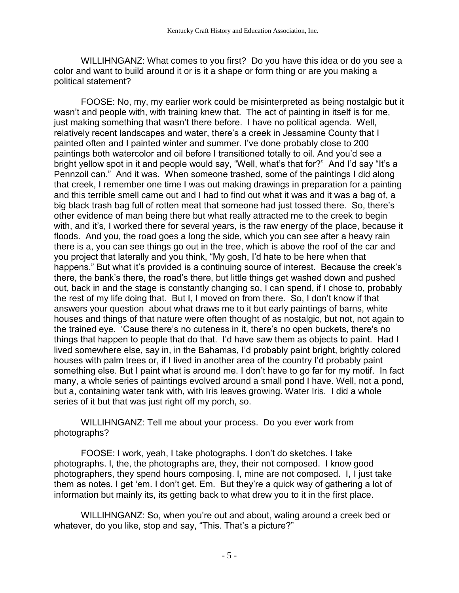WILLIHNGANZ: What comes to you first? Do you have this idea or do you see a color and want to build around it or is it a shape or form thing or are you making a political statement?

FOOSE: No, my, my earlier work could be misinterpreted as being nostalgic but it wasn't and people with, with training knew that. The act of painting in itself is for me, just making something that wasn't there before. I have no political agenda. Well, relatively recent landscapes and water, there's a creek in Jessamine County that I painted often and I painted winter and summer. I've done probably close to 200 paintings both watercolor and oil before I transitioned totally to oil. And you'd see a bright yellow spot in it and people would say, "Well, what's that for?" And I'd say "It's a Pennzoil can." And it was. When someone trashed, some of the paintings I did along that creek, I remember one time I was out making drawings in preparation for a painting and this terrible smell came out and I had to find out what it was and it was a bag of, a big black trash bag full of rotten meat that someone had just tossed there. So, there's other evidence of man being there but what really attracted me to the creek to begin with, and it's, I worked there for several years, is the raw energy of the place, because it floods. And you, the road goes a long the side, which you can see after a heavy rain there is a, you can see things go out in the tree, which is above the roof of the car and you project that laterally and you think, "My gosh, I'd hate to be here when that happens." But what it's provided is a continuing source of interest. Because the creek's there, the bank's there, the road's there, but little things get washed down and pushed out, back in and the stage is constantly changing so, I can spend, if I chose to, probably the rest of my life doing that. But I, I moved on from there. So, I don't know if that answers your question about what draws me to it but early paintings of barns, white houses and things of that nature were often thought of as nostalgic, but not, not again to the trained eye. 'Cause there's no cuteness in it, there's no open buckets, there's no things that happen to people that do that. I'd have saw them as objects to paint. Had I lived somewhere else, say in, in the Bahamas, I'd probably paint bright, brightly colored houses with palm trees or, if I lived in another area of the country I'd probably paint something else. But I paint what is around me. I don't have to go far for my motif. In fact many, a whole series of paintings evolved around a small pond I have. Well, not a pond, but a, containing water tank with, with Iris leaves growing. Water Iris. I did a whole series of it but that was just right off my porch, so.

WILLIHNGANZ: Tell me about your process. Do you ever work from photographs?

FOOSE: I work, yeah, I take photographs. I don't do sketches. I take photographs. I, the, the photographs are, they, their not composed. I know good photographers, they spend hours composing. I, mine are not composed. I, I just take them as notes. I get 'em. I don't get. Em. But they're a quick way of gathering a lot of information but mainly its, its getting back to what drew you to it in the first place.

WILLIHNGANZ: So, when you're out and about, waling around a creek bed or whatever, do you like, stop and say, "This. That's a picture?"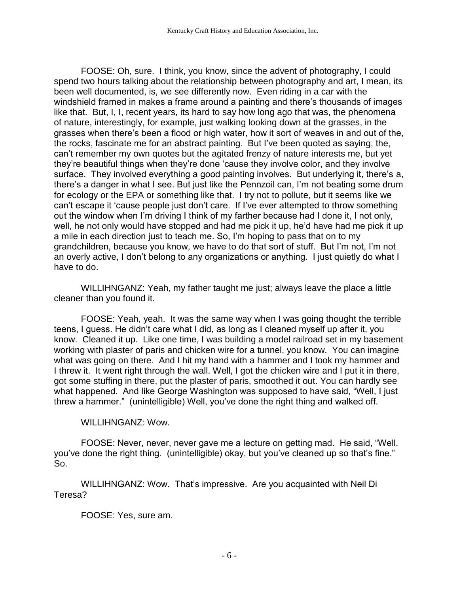FOOSE: Oh, sure. I think, you know, since the advent of photography, I could spend two hours talking about the relationship between photography and art, I mean, its been well documented, is, we see differently now. Even riding in a car with the windshield framed in makes a frame around a painting and there's thousands of images like that. But, I, I, recent years, its hard to say how long ago that was, the phenomena of nature, interestingly, for example, just walking looking down at the grasses, in the grasses when there's been a flood or high water, how it sort of weaves in and out of the, the rocks, fascinate me for an abstract painting. But I've been quoted as saying, the, can't remember my own quotes but the agitated frenzy of nature interests me, but yet they're beautiful things when they're done 'cause they involve color, and they involve surface. They involved everything a good painting involves. But underlying it, there's a, there's a danger in what I see. But just like the Pennzoil can, I'm not beating some drum for ecology or the EPA or something like that. I try not to pollute, but it seems like we can't escape it 'cause people just don't care. If I've ever attempted to throw something out the window when I'm driving I think of my farther because had I done it, I not only, well, he not only would have stopped and had me pick it up, he'd have had me pick it up a mile in each direction just to teach me. So, I'm hoping to pass that on to my grandchildren, because you know, we have to do that sort of stuff. But I'm not, I'm not an overly active, I don't belong to any organizations or anything. I just quietly do what I have to do.

WILLIHNGANZ: Yeah, my father taught me just; always leave the place a little cleaner than you found it.

FOOSE: Yeah, yeah. It was the same way when I was going thought the terrible teens, I guess. He didn't care what I did, as long as I cleaned myself up after it, you know. Cleaned it up. Like one time, I was building a model railroad set in my basement working with plaster of paris and chicken wire for a tunnel, you know. You can imagine what was going on there. And I hit my hand with a hammer and I took my hammer and I threw it. It went right through the wall. Well, I got the chicken wire and I put it in there, got some stuffing in there, put the plaster of paris, smoothed it out. You can hardly see what happened. And like George Washington was supposed to have said, "Well, I just threw a hammer." (unintelligible) Well, you've done the right thing and walked off.

## WILLIHNGANZ: Wow.

FOOSE: Never, never, never gave me a lecture on getting mad. He said, "Well, you've done the right thing. (unintelligible) okay, but you've cleaned up so that's fine." So.

WILLIHNGANZ: Wow. That's impressive. Are you acquainted with Neil Di Teresa?

FOOSE: Yes, sure am.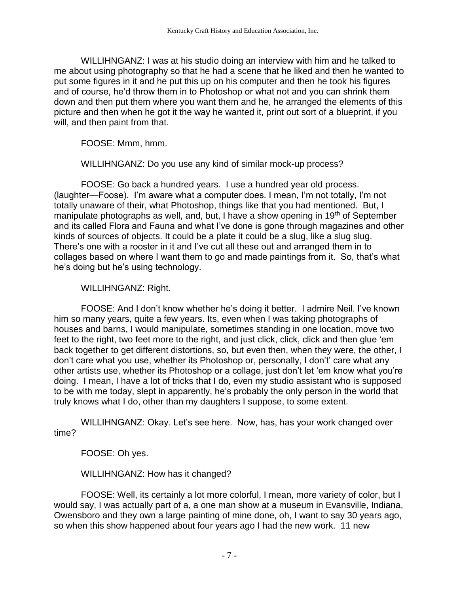WILLIHNGANZ: I was at his studio doing an interview with him and he talked to me about using photography so that he had a scene that he liked and then he wanted to put some figures in it and he put this up on his computer and then he took his figures and of course, he'd throw them in to Photoshop or what not and you can shrink them down and then put them where you want them and he, he arranged the elements of this picture and then when he got it the way he wanted it, print out sort of a blueprint, if you will, and then paint from that.

FOOSE: Mmm, hmm.

WILLIHNGANZ: Do you use any kind of similar mock-up process?

FOOSE: Go back a hundred years. I use a hundred year old process. (laughter—Foose). I'm aware what a computer does. I mean, I'm not totally, I'm not totally unaware of their, what Photoshop, things like that you had mentioned. But, I manipulate photographs as well, and, but, I have a show opening in 19<sup>th</sup> of September and its called Flora and Fauna and what I've done is gone through magazines and other kinds of sources of objects. It could be a plate it could be a slug, like a slug slug. There's one with a rooster in it and I've cut all these out and arranged them in to collages based on where I want them to go and made paintings from it. So, that's what he's doing but he's using technology.

WILLIHNGANZ: Right.

FOOSE: And I don't know whether he's doing it better. I admire Neil. I've known him so many years, quite a few years. Its, even when I was taking photographs of houses and barns, I would manipulate, sometimes standing in one location, move two feet to the right, two feet more to the right, and just click, click, click and then glue 'em back together to get different distortions, so, but even then, when they were, the other, I don't care what you use, whether its Photoshop or, personally, I don't' care what any other artists use, whether its Photoshop or a collage, just don't let 'em know what you're doing. I mean, I have a lot of tricks that I do, even my studio assistant who is supposed to be with me today, slept in apparently, he's probably the only person in the world that truly knows what I do, other than my daughters I suppose, to some extent.

WILLIHNGANZ: Okay. Let's see here. Now, has, has your work changed over time?

FOOSE: Oh yes.

WILLIHNGANZ: How has it changed?

FOOSE: Well, its certainly a lot more colorful, I mean, more variety of color, but I would say, I was actually part of a, a one man show at a museum in Evansville, Indiana, Owensboro and they own a large painting of mine done, oh, I want to say 30 years ago, so when this show happened about four years ago I had the new work. 11 new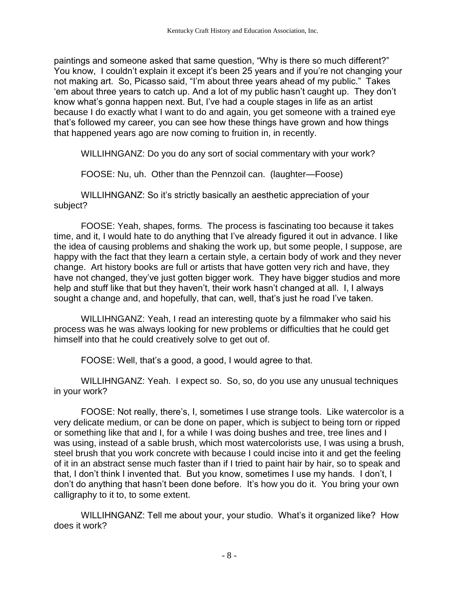paintings and someone asked that same question, "Why is there so much different?" You know, I couldn't explain it except it's been 25 years and if you're not changing your not making art. So, Picasso said, "I'm about three years ahead of my public." Takes 'em about three years to catch up. And a lot of my public hasn't caught up. They don't know what's gonna happen next. But, I've had a couple stages in life as an artist because I do exactly what I want to do and again, you get someone with a trained eye that's followed my career, you can see how these things have grown and how things that happened years ago are now coming to fruition in, in recently.

WILLIHNGANZ: Do you do any sort of social commentary with your work?

FOOSE: Nu, uh. Other than the Pennzoil can. (laughter—Foose)

WILLIHNGANZ: So it's strictly basically an aesthetic appreciation of your subject?

FOOSE: Yeah, shapes, forms. The process is fascinating too because it takes time, and it, I would hate to do anything that I've already figured it out in advance. I like the idea of causing problems and shaking the work up, but some people, I suppose, are happy with the fact that they learn a certain style, a certain body of work and they never change. Art history books are full or artists that have gotten very rich and have, they have not changed, they've just gotten bigger work. They have bigger studios and more help and stuff like that but they haven't, their work hasn't changed at all. I, I always sought a change and, and hopefully, that can, well, that's just he road I've taken.

WILLIHNGANZ: Yeah, I read an interesting quote by a filmmaker who said his process was he was always looking for new problems or difficulties that he could get himself into that he could creatively solve to get out of.

FOOSE: Well, that's a good, a good, I would agree to that.

WILLIHNGANZ: Yeah. I expect so. So, so, do you use any unusual techniques in your work?

FOOSE: Not really, there's, I, sometimes I use strange tools. Like watercolor is a very delicate medium, or can be done on paper, which is subject to being torn or ripped or something like that and I, for a while I was doing bushes and tree, tree lines and I was using, instead of a sable brush, which most watercolorists use, I was using a brush, steel brush that you work concrete with because I could incise into it and get the feeling of it in an abstract sense much faster than if I tried to paint hair by hair, so to speak and that, I don't think I invented that. But you know, sometimes I use my hands. I don't, I don't do anything that hasn't been done before. It's how you do it. You bring your own calligraphy to it to, to some extent.

WILLIHNGANZ: Tell me about your, your studio. What's it organized like? How does it work?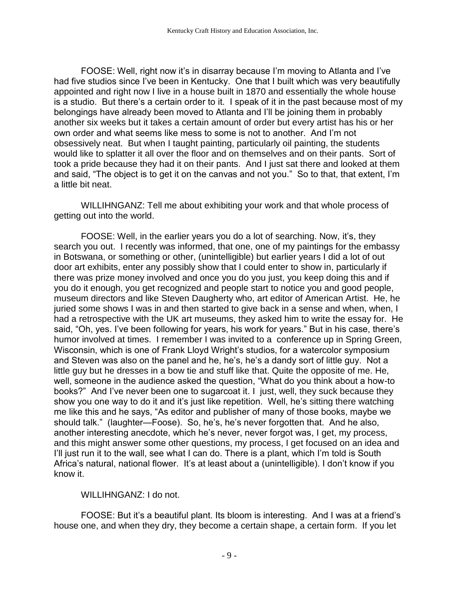FOOSE: Well, right now it's in disarray because I'm moving to Atlanta and I've had five studios since I've been in Kentucky. One that I built which was very beautifully appointed and right now I live in a house built in 1870 and essentially the whole house is a studio. But there's a certain order to it. I speak of it in the past because most of my belongings have already been moved to Atlanta and I'll be joining them in probably another six weeks but it takes a certain amount of order but every artist has his or her own order and what seems like mess to some is not to another. And I'm not obsessively neat. But when I taught painting, particularly oil painting, the students would like to splatter it all over the floor and on themselves and on their pants. Sort of took a pride because they had it on their pants. And I just sat there and looked at them and said, "The object is to get it on the canvas and not you." So to that, that extent, I'm a little bit neat.

WILLIHNGANZ: Tell me about exhibiting your work and that whole process of getting out into the world.

FOOSE: Well, in the earlier years you do a lot of searching. Now, it's, they search you out. I recently was informed, that one, one of my paintings for the embassy in Botswana, or something or other, (unintelligible) but earlier years I did a lot of out door art exhibits, enter any possibly show that I could enter to show in, particularly if there was prize money involved and once you do you just, you keep doing this and if you do it enough, you get recognized and people start to notice you and good people, museum directors and like Steven Daugherty who, art editor of American Artist. He, he juried some shows I was in and then started to give back in a sense and when, when, I had a retrospective with the UK art museums, they asked him to write the essay for. He said, "Oh, yes. I've been following for years, his work for years." But in his case, there's humor involved at times. I remember I was invited to a conference up in Spring Green, Wisconsin, which is one of Frank Lloyd Wright's studios, for a watercolor symposium and Steven was also on the panel and he, he's, he's a dandy sort of little guy. Not a little guy but he dresses in a bow tie and stuff like that. Quite the opposite of me. He, well, someone in the audience asked the question, "What do you think about a how-to books?" And I've never been one to sugarcoat it. I just, well, they suck because they show you one way to do it and it's just like repetition. Well, he's sitting there watching me like this and he says, "As editor and publisher of many of those books, maybe we should talk." (laughter—Foose). So, he's, he's never forgotten that. And he also, another interesting anecdote, which he's never, never forgot was, I get, my process, and this might answer some other questions, my process, I get focused on an idea and I'll just run it to the wall, see what I can do. There is a plant, which I'm told is South Africa's natural, national flower. It's at least about a (unintelligible). I don't know if you know it.

## WILLIHNGANZ: I do not.

FOOSE: But it's a beautiful plant. Its bloom is interesting. And I was at a friend's house one, and when they dry, they become a certain shape, a certain form. If you let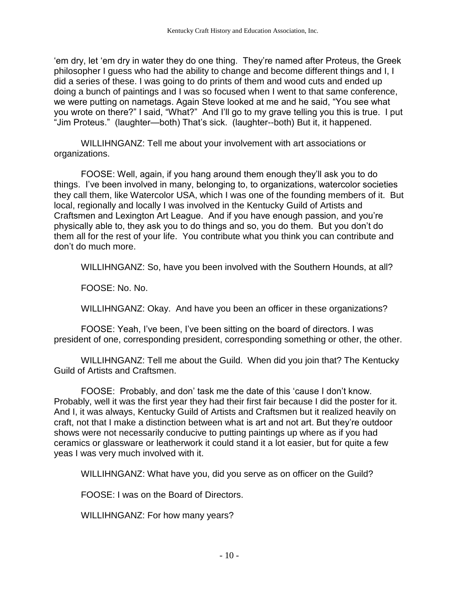'em dry, let 'em dry in water they do one thing. They're named after Proteus, the Greek philosopher I guess who had the ability to change and become different things and I, I did a series of these. I was going to do prints of them and wood cuts and ended up doing a bunch of paintings and I was so focused when I went to that same conference, we were putting on nametags. Again Steve looked at me and he said, "You see what you wrote on there?" I said, "What?" And I'll go to my grave telling you this is true. I put "Jim Proteus." (laughter—both) That's sick. (laughter--both) But it, it happened.

WILLIHNGANZ: Tell me about your involvement with art associations or organizations.

FOOSE: Well, again, if you hang around them enough they'll ask you to do things. I've been involved in many, belonging to, to organizations, watercolor societies they call them, like Watercolor USA, which I was one of the founding members of it. But local, regionally and locally I was involved in the Kentucky Guild of Artists and Craftsmen and Lexington Art League. And if you have enough passion, and you're physically able to, they ask you to do things and so, you do them. But you don't do them all for the rest of your life. You contribute what you think you can contribute and don't do much more.

WILLIHNGANZ: So, have you been involved with the Southern Hounds, at all?

FOOSE: No. No.

WILLIHNGANZ: Okay. And have you been an officer in these organizations?

FOOSE: Yeah, I've been, I've been sitting on the board of directors. I was president of one, corresponding president, corresponding something or other, the other.

WILLIHNGANZ: Tell me about the Guild. When did you join that? The Kentucky Guild of Artists and Craftsmen.

FOOSE: Probably, and don' task me the date of this 'cause I don't know. Probably, well it was the first year they had their first fair because I did the poster for it. And I, it was always, Kentucky Guild of Artists and Craftsmen but it realized heavily on craft, not that I make a distinction between what is art and not art. But they're outdoor shows were not necessarily conducive to putting paintings up where as if you had ceramics or glassware or leatherwork it could stand it a lot easier, but for quite a few yeas I was very much involved with it.

WILLIHNGANZ: What have you, did you serve as on officer on the Guild?

FOOSE: I was on the Board of Directors.

WILLIHNGANZ: For how many years?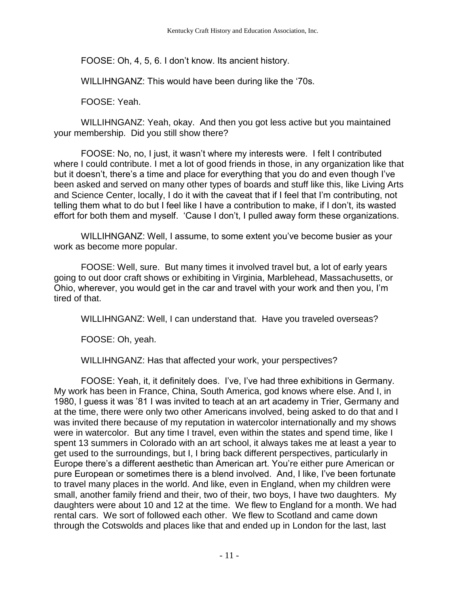FOOSE: Oh, 4, 5, 6. I don't know. Its ancient history.

WILLIHNGANZ: This would have been during like the '70s.

FOOSE: Yeah.

WILLIHNGANZ: Yeah, okay. And then you got less active but you maintained your membership. Did you still show there?

FOOSE: No, no, I just, it wasn't where my interests were. I felt I contributed where I could contribute. I met a lot of good friends in those, in any organization like that but it doesn't, there's a time and place for everything that you do and even though I've been asked and served on many other types of boards and stuff like this, like Living Arts and Science Center, locally, I do it with the caveat that if I feel that I'm contributing, not telling them what to do but I feel like I have a contribution to make, if I don't, its wasted effort for both them and myself. 'Cause I don't, I pulled away form these organizations.

WILLIHNGANZ: Well, I assume, to some extent you've become busier as your work as become more popular.

FOOSE: Well, sure. But many times it involved travel but, a lot of early years going to out door craft shows or exhibiting in Virginia, Marblehead, Massachusetts, or Ohio, wherever, you would get in the car and travel with your work and then you, I'm tired of that.

WILLIHNGANZ: Well, I can understand that. Have you traveled overseas?

FOOSE: Oh, yeah.

WILLIHNGANZ: Has that affected your work, your perspectives?

FOOSE: Yeah, it, it definitely does. I've, I've had three exhibitions in Germany. My work has been in France, China, South America, god knows where else. And I, in 1980, I guess it was '81 I was invited to teach at an art academy in Trier, Germany and at the time, there were only two other Americans involved, being asked to do that and I was invited there because of my reputation in watercolor internationally and my shows were in watercolor. But any time I travel, even within the states and spend time, like I spent 13 summers in Colorado with an art school, it always takes me at least a year to get used to the surroundings, but I, I bring back different perspectives, particularly in Europe there's a different aesthetic than American art. You're either pure American or pure European or sometimes there is a blend involved. And, I like, I've been fortunate to travel many places in the world. And like, even in England, when my children were small, another family friend and their, two of their, two boys, I have two daughters. My daughters were about 10 and 12 at the time. We flew to England for a month. We had rental cars. We sort of followed each other. We flew to Scotland and came down through the Cotswolds and places like that and ended up in London for the last, last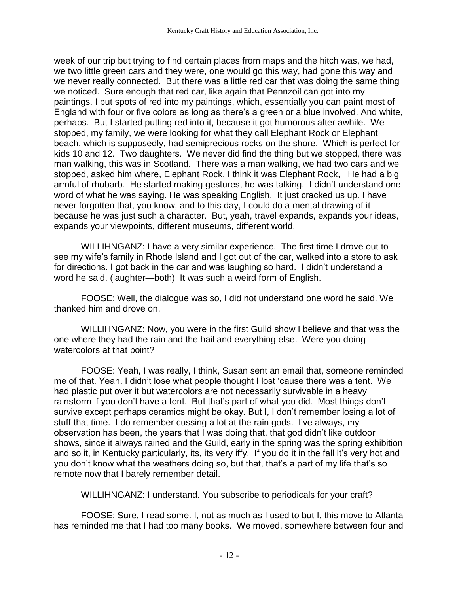week of our trip but trying to find certain places from maps and the hitch was, we had, we two little green cars and they were, one would go this way, had gone this way and we never really connected. But there was a little red car that was doing the same thing we noticed. Sure enough that red car, like again that Pennzoil can got into my paintings. I put spots of red into my paintings, which, essentially you can paint most of England with four or five colors as long as there's a green or a blue involved. And white, perhaps. But I started putting red into it, because it got humorous after awhile. We stopped, my family, we were looking for what they call Elephant Rock or Elephant beach, which is supposedly, had semiprecious rocks on the shore. Which is perfect for kids 10 and 12. Two daughters. We never did find the thing but we stopped, there was man walking, this was in Scotland. There was a man walking, we had two cars and we stopped, asked him where, Elephant Rock, I think it was Elephant Rock, He had a big armful of rhubarb. He started making gestures, he was talking. I didn't understand one word of what he was saying. He was speaking English. It just cracked us up. I have never forgotten that, you know, and to this day, I could do a mental drawing of it because he was just such a character. But, yeah, travel expands, expands your ideas, expands your viewpoints, different museums, different world.

WILLIHNGANZ: I have a very similar experience. The first time I drove out to see my wife's family in Rhode Island and I got out of the car, walked into a store to ask for directions. I got back in the car and was laughing so hard. I didn't understand a word he said. (laughter—both) It was such a weird form of English.

FOOSE: Well, the dialogue was so, I did not understand one word he said. We thanked him and drove on.

WILLIHNGANZ: Now, you were in the first Guild show I believe and that was the one where they had the rain and the hail and everything else. Were you doing watercolors at that point?

FOOSE: Yeah, I was really, I think, Susan sent an email that, someone reminded me of that. Yeah. I didn't lose what people thought I lost 'cause there was a tent. We had plastic put over it but watercolors are not necessarily survivable in a heavy rainstorm if you don't have a tent. But that's part of what you did. Most things don't survive except perhaps ceramics might be okay. But I, I don't remember losing a lot of stuff that time. I do remember cussing a lot at the rain gods. I've always, my observation has been, the years that I was doing that, that god didn't like outdoor shows, since it always rained and the Guild, early in the spring was the spring exhibition and so it, in Kentucky particularly, its, its very iffy. If you do it in the fall it's very hot and you don't know what the weathers doing so, but that, that's a part of my life that's so remote now that I barely remember detail.

WILLIHNGANZ: I understand. You subscribe to periodicals for your craft?

FOOSE: Sure, I read some. I, not as much as I used to but I, this move to Atlanta has reminded me that I had too many books. We moved, somewhere between four and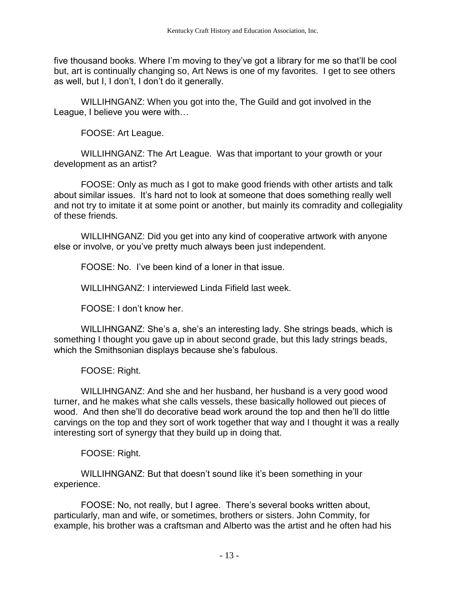five thousand books. Where I'm moving to they've got a library for me so that'll be cool but, art is continually changing so, Art News is one of my favorites. I get to see others as well, but I, I don't, I don't do it generally.

WILLIHNGANZ: When you got into the, The Guild and got involved in the League, I believe you were with…

FOOSE: Art League.

WILLIHNGANZ: The Art League. Was that important to your growth or your development as an artist?

FOOSE: Only as much as I got to make good friends with other artists and talk about similar issues. It's hard not to look at someone that does something really well and not try to imitate it at some point or another, but mainly its comradity and collegiality of these friends.

WILLIHNGANZ: Did you get into any kind of cooperative artwork with anyone else or involve, or you've pretty much always been just independent.

FOOSE: No. I've been kind of a loner in that issue.

WILLIHNGANZ: I interviewed Linda Fifield last week.

FOOSE: I don't know her.

WILLIHNGANZ: She's a, she's an interesting lady. She strings beads, which is something I thought you gave up in about second grade, but this lady strings beads, which the Smithsonian displays because she's fabulous.

FOOSE: Right.

WILLIHNGANZ: And she and her husband, her husband is a very good wood turner, and he makes what she calls vessels, these basically hollowed out pieces of wood. And then she'll do decorative bead work around the top and then he'll do little carvings on the top and they sort of work together that way and I thought it was a really interesting sort of synergy that they build up in doing that.

FOOSE: Right.

WILLIHNGANZ: But that doesn't sound like it's been something in your experience.

FOOSE: No, not really, but I agree. There's several books written about, particularly, man and wife, or sometimes, brothers or sisters. John Commity, for example, his brother was a craftsman and Alberto was the artist and he often had his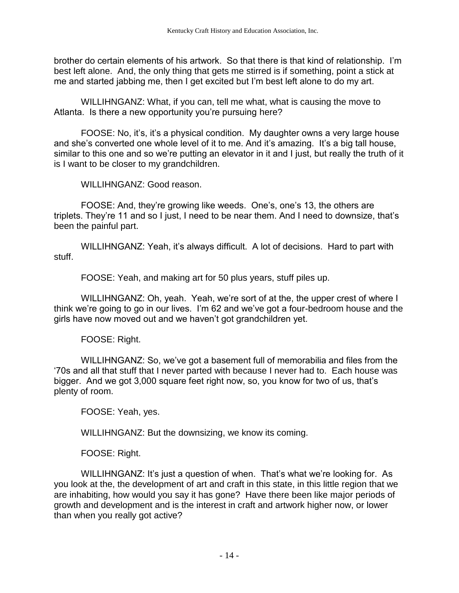brother do certain elements of his artwork. So that there is that kind of relationship. I'm best left alone. And, the only thing that gets me stirred is if something, point a stick at me and started jabbing me, then I get excited but I'm best left alone to do my art.

WILLIHNGANZ: What, if you can, tell me what, what is causing the move to Atlanta. Is there a new opportunity you're pursuing here?

FOOSE: No, it's, it's a physical condition. My daughter owns a very large house and she's converted one whole level of it to me. And it's amazing. It's a big tall house, similar to this one and so we're putting an elevator in it and I just, but really the truth of it is I want to be closer to my grandchildren.

WILLIHNGANZ: Good reason.

FOOSE: And, they're growing like weeds. One's, one's 13, the others are triplets. They're 11 and so I just, I need to be near them. And I need to downsize, that's been the painful part.

WILLIHNGANZ: Yeah, it's always difficult. A lot of decisions. Hard to part with stuff.

FOOSE: Yeah, and making art for 50 plus years, stuff piles up.

WILLIHNGANZ: Oh, yeah. Yeah, we're sort of at the, the upper crest of where I think we're going to go in our lives. I'm 62 and we've got a four-bedroom house and the girls have now moved out and we haven't got grandchildren yet.

FOOSE: Right.

WILLIHNGANZ: So, we've got a basement full of memorabilia and files from the '70s and all that stuff that I never parted with because I never had to. Each house was bigger. And we got 3,000 square feet right now, so, you know for two of us, that's plenty of room.

FOOSE: Yeah, yes.

WILLIHNGANZ: But the downsizing, we know its coming.

FOOSE: Right.

WILLIHNGANZ: It's just a question of when. That's what we're looking for. As you look at the, the development of art and craft in this state, in this little region that we are inhabiting, how would you say it has gone? Have there been like major periods of growth and development and is the interest in craft and artwork higher now, or lower than when you really got active?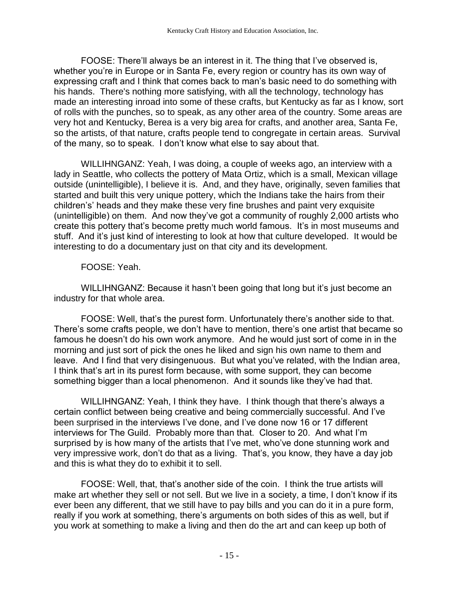FOOSE: There'll always be an interest in it. The thing that I've observed is, whether you're in Europe or in Santa Fe, every region or country has its own way of expressing craft and I think that comes back to man's basic need to do something with his hands. There's nothing more satisfying, with all the technology, technology has made an interesting inroad into some of these crafts, but Kentucky as far as I know, sort of rolls with the punches, so to speak, as any other area of the country. Some areas are very hot and Kentucky, Berea is a very big area for crafts, and another area, Santa Fe, so the artists, of that nature, crafts people tend to congregate in certain areas. Survival of the many, so to speak. I don't know what else to say about that.

WILLIHNGANZ: Yeah, I was doing, a couple of weeks ago, an interview with a lady in Seattle, who collects the pottery of Mata Ortiz, which is a small, Mexican village outside (unintelligible), I believe it is. And, and they have, originally, seven families that started and built this very unique pottery, which the Indians take the hairs from their children's' heads and they make these very fine brushes and paint very exquisite (unintelligible) on them. And now they've got a community of roughly 2,000 artists who create this pottery that's become pretty much world famous. It's in most museums and stuff. And it's just kind of interesting to look at how that culture developed. It would be interesting to do a documentary just on that city and its development.

## FOOSE: Yeah.

WILLIHNGANZ: Because it hasn't been going that long but it's just become an industry for that whole area.

FOOSE: Well, that's the purest form. Unfortunately there's another side to that. There's some crafts people, we don't have to mention, there's one artist that became so famous he doesn't do his own work anymore. And he would just sort of come in in the morning and just sort of pick the ones he liked and sign his own name to them and leave. And I find that very disingenuous. But what you've related, with the Indian area, I think that's art in its purest form because, with some support, they can become something bigger than a local phenomenon. And it sounds like they've had that.

WILLIHNGANZ: Yeah, I think they have. I think though that there's always a certain conflict between being creative and being commercially successful. And I've been surprised in the interviews I've done, and I've done now 16 or 17 different interviews for The Guild. Probably more than that. Closer to 20. And what I'm surprised by is how many of the artists that I've met, who've done stunning work and very impressive work, don't do that as a living. That's, you know, they have a day job and this is what they do to exhibit it to sell.

FOOSE: Well, that, that's another side of the coin. I think the true artists will make art whether they sell or not sell. But we live in a society, a time, I don't know if its ever been any different, that we still have to pay bills and you can do it in a pure form, really if you work at something, there's arguments on both sides of this as well, but if you work at something to make a living and then do the art and can keep up both of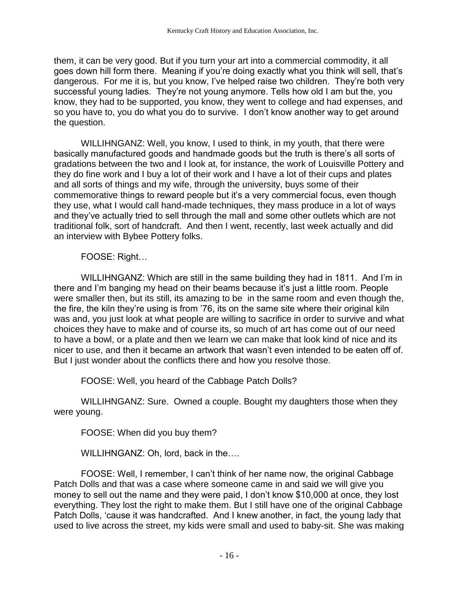them, it can be very good. But if you turn your art into a commercial commodity, it all goes down hill form there. Meaning if you're doing exactly what you think will sell, that's dangerous. For me it is, but you know, I've helped raise two children. They're both very successful young ladies. They're not young anymore. Tells how old I am but the, you know, they had to be supported, you know, they went to college and had expenses, and so you have to, you do what you do to survive. I don't know another way to get around the question.

WILLIHNGANZ: Well, you know, I used to think, in my youth, that there were basically manufactured goods and handmade goods but the truth is there's all sorts of gradations between the two and I look at, for instance, the work of Louisville Pottery and they do fine work and I buy a lot of their work and I have a lot of their cups and plates and all sorts of things and my wife, through the university, buys some of their commemorative things to reward people but it's a very commercial focus, even though they use, what I would call hand-made techniques, they mass produce in a lot of ways and they've actually tried to sell through the mall and some other outlets which are not traditional folk, sort of handcraft. And then I went, recently, last week actually and did an interview with Bybee Pottery folks.

FOOSE: Right…

WILLIHNGANZ: Which are still in the same building they had in 1811. And I'm in there and I'm banging my head on their beams because it's just a little room. People were smaller then, but its still, its amazing to be in the same room and even though the, the fire, the kiln they're using is from '76, its on the same site where their original kiln was and, you just look at what people are willing to sacrifice in order to survive and what choices they have to make and of course its, so much of art has come out of our need to have a bowl, or a plate and then we learn we can make that look kind of nice and its nicer to use, and then it became an artwork that wasn't even intended to be eaten off of. But I just wonder about the conflicts there and how you resolve those.

FOOSE: Well, you heard of the Cabbage Patch Dolls?

WILLIHNGANZ: Sure. Owned a couple. Bought my daughters those when they were young.

FOOSE: When did you buy them?

WILLIHNGANZ: Oh, lord, back in the….

FOOSE: Well, I remember, I can't think of her name now, the original Cabbage Patch Dolls and that was a case where someone came in and said we will give you money to sell out the name and they were paid, I don't know \$10,000 at once, they lost everything. They lost the right to make them. But I still have one of the original Cabbage Patch Dolls, 'cause it was handcrafted. And I knew another, in fact, the young lady that used to live across the street, my kids were small and used to baby-sit. She was making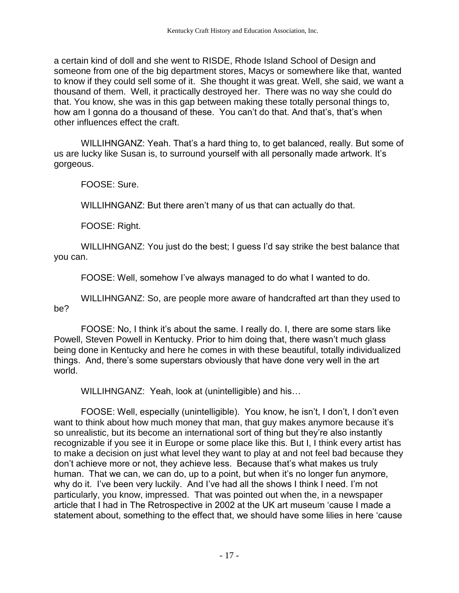a certain kind of doll and she went to RISDE, Rhode Island School of Design and someone from one of the big department stores, Macys or somewhere like that, wanted to know if they could sell some of it. She thought it was great. Well, she said, we want a thousand of them. Well, it practically destroyed her. There was no way she could do that. You know, she was in this gap between making these totally personal things to, how am I gonna do a thousand of these. You can't do that. And that's, that's when other influences effect the craft.

WILLIHNGANZ: Yeah. That's a hard thing to, to get balanced, really. But some of us are lucky like Susan is, to surround yourself with all personally made artwork. It's gorgeous.

FOOSE: Sure.

WILLIHNGANZ: But there aren't many of us that can actually do that.

FOOSE: Right.

WILLIHNGANZ: You just do the best; I guess I'd say strike the best balance that you can.

FOOSE: Well, somehow I've always managed to do what I wanted to do.

WILLIHNGANZ: So, are people more aware of handcrafted art than they used to be?

FOOSE: No, I think it's about the same. I really do. I, there are some stars like Powell, Steven Powell in Kentucky. Prior to him doing that, there wasn't much glass being done in Kentucky and here he comes in with these beautiful, totally individualized things. And, there's some superstars obviously that have done very well in the art world.

WILLIHNGANZ: Yeah, look at (unintelligible) and his…

FOOSE: Well, especially (unintelligible). You know, he isn't, I don't, I don't even want to think about how much money that man, that guy makes anymore because it's so unrealistic, but its become an international sort of thing but they're also instantly recognizable if you see it in Europe or some place like this. But I, I think every artist has to make a decision on just what level they want to play at and not feel bad because they don't achieve more or not, they achieve less. Because that's what makes us truly human. That we can, we can do, up to a point, but when it's no longer fun anymore, why do it. I've been very luckily. And I've had all the shows I think I need. I'm not particularly, you know, impressed. That was pointed out when the, in a newspaper article that I had in The Retrospective in 2002 at the UK art museum 'cause I made a statement about, something to the effect that, we should have some lilies in here 'cause